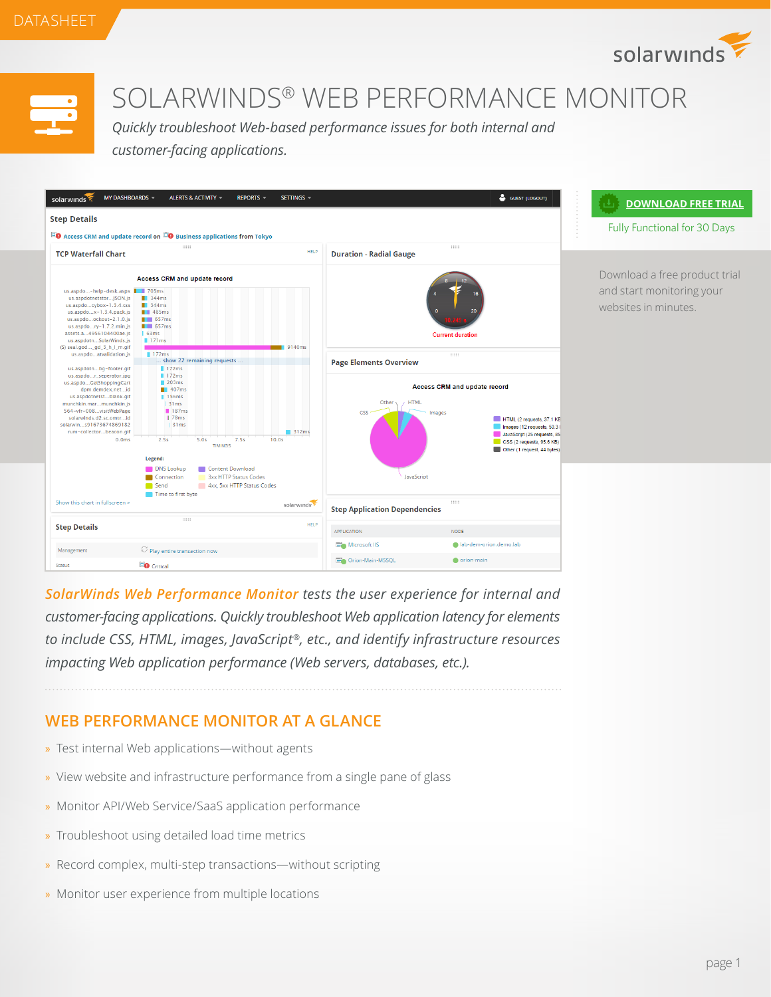



# SOLARWINDS® WEB PERFORMANCE MONITOR

*Quickly troubleshoot Web-based performance issues for both internal and customer-facing applications.* 



*[SolarWinds Web Performance Monitor](http://www.solarwinds.com/web-performance-monitor.aspx) tests the user experience for internal and customer-facing applications. Quickly troubleshoot Web application latency for elements to include CSS, HTML, images, JavaScript®, etc., and identify infrastructure resources impacting Web application performance (Web servers, databases, etc.).*

# **WEB PERFORMANCE MONITOR AT A GLANCE**

- » Test internal Web applications—without agents
- » View website and infrastructure performance from a single pane of glass
- » Monitor API/Web Service/SaaS application performance
- » Troubleshoot using detailed load time metrics
- » Record complex, multi-step transactions—without scripting
- » Monitor user experience from multiple locations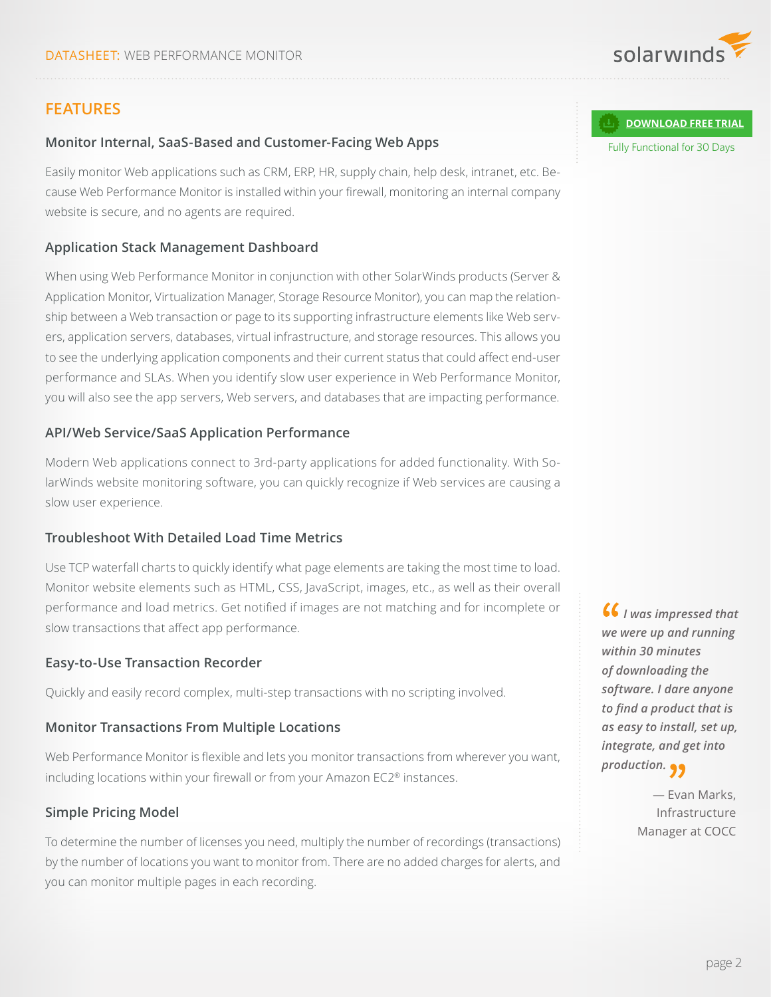

# **FEATURES**

# **Monitor Internal, SaaS-Based and Customer-Facing Web Apps**

Easily monitor Web applications such as CRM, ERP, HR, supply chain, help desk, intranet, etc. Because Web Performance Monitor is installed within your firewall, monitoring an internal company website is secure, and no agents are required.

## **Application Stack Management Dashboard**

When using Web Performance Monitor in conjunction with other SolarWinds products (Server & Application Monitor, Virtualization Manager, Storage Resource Monitor), you can map the relationship between a Web transaction or page to its supporting infrastructure elements like Web servers, application servers, databases, virtual infrastructure, and storage resources. This allows you to see the underlying application components and their current status that could affect end-user performance and SLAs. When you identify slow user experience in Web Performance Monitor, you will also see the app servers, Web servers, and databases that are impacting performance.

## **API/Web Service/SaaS Application Performance**

Modern Web applications connect to 3rd-party applications for added functionality. With SolarWinds website monitoring software, you can quickly recognize if Web services are causing a slow user experience.

#### **Troubleshoot With Detailed Load Time Metrics**

Use TCP waterfall charts to quickly identify what page elements are taking the most time to load. Monitor website elements such as HTML, CSS, JavaScript, images, etc., as well as their overall performance and load metrics. Get notified if images are not matching and for incomplete or slow transactions that affect app performance.

#### **Easy-to-Use Transaction Recorder**

Quickly and easily record complex, multi-step transactions with no scripting involved.

#### **Monitor Transactions From Multiple Locations**

Web Performance Monitor is flexible and lets you monitor transactions from wherever you want, including locations within your firewall or from your Amazon EC2® instances.

## **Simple Pricing Model**

To determine the number of licenses you need, multiply the number of recordings (transactions) by the number of locations you want to monitor from. There are no added charges for alerts, and you can monitor multiple pages in each recording.

#### **[DOWNLOAD FREE TRIAL](http://www.solarwinds.com/register/registrationb.aspx?program=1577&c=70150000000PBDr)**

Fully Functional for 30 Days

 *I was impressed that we were up and running within 30 minutes of downloading the software. I dare anyone to find a product that is as easy to install, set up, integrate, and get into production.*

> — Evan Marks, Infrastructure Manager at COCC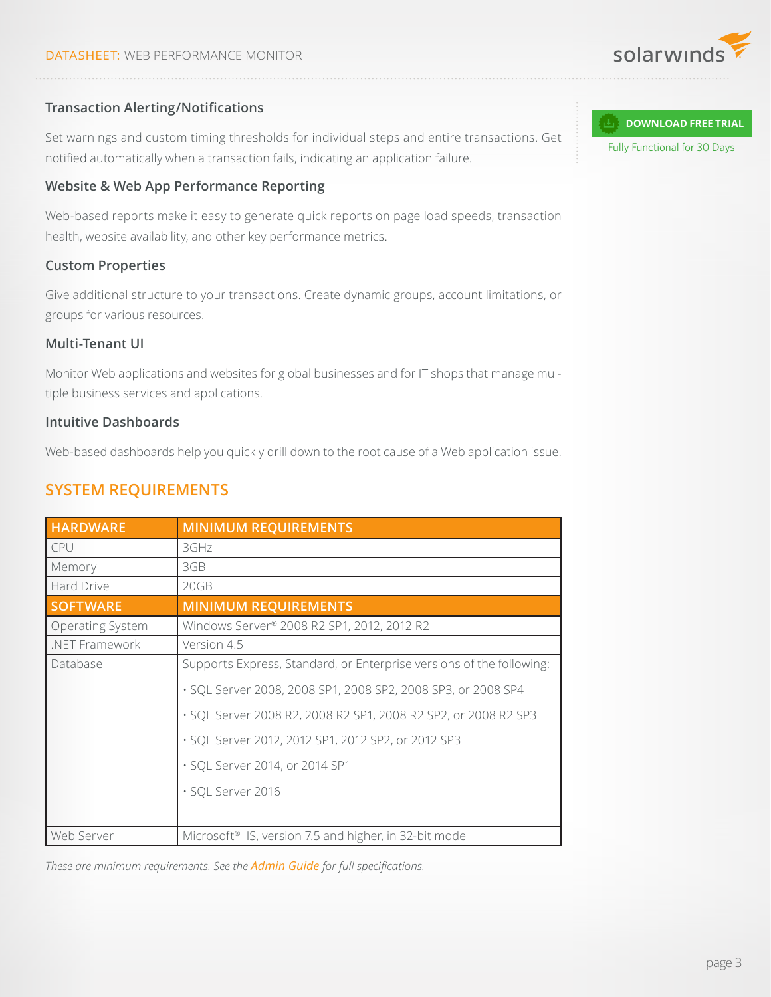

# **Transaction Alerting/Notifications**

Set warnings and custom timing thresholds for individual steps and entire transactions. Get notified automatically when a transaction fails, indicating an application failure.

## **Website & Web App Performance Reporting**

Web-based reports make it easy to generate quick reports on page load speeds, transaction health, website availability, and other key performance metrics.

## **Custom Properties**

Give additional structure to your transactions. Create dynamic groups, account limitations, or groups for various resources.

## **Multi-Tenant UI**

Monitor Web applications and websites for global businesses and for IT shops that manage multiple business services and applications.

#### **Intuitive Dashboards**

Web-based dashboards help you quickly drill down to the root cause of a Web application issue.

# **SYSTEM REQUIREMENTS**

| <b>HARDWARE</b>         | <b>MINIMUM REQUIREMENTS</b>                                          |
|-------------------------|----------------------------------------------------------------------|
| CPU                     | 3GHz                                                                 |
| Memory                  | 3GB                                                                  |
| Hard Drive              | 20GB                                                                 |
| <b>SOFTWARE</b>         | <b>MINIMUM REQUIREMENTS</b>                                          |
| <b>Operating System</b> | Windows Server <sup>®</sup> 2008 R2 SP1, 2012, 2012 R2               |
| .NET Framework          | Version 4.5                                                          |
| Database                | Supports Express, Standard, or Enterprise versions of the following: |
|                         | · SQL Server 2008, 2008 SP1, 2008 SP2, 2008 SP3, or 2008 SP4         |
|                         | · SQL Server 2008 R2, 2008 R2 SP1, 2008 R2 SP2, or 2008 R2 SP3       |
|                         | · SQL Server 2012, 2012 SP1, 2012 SP2, or 2012 SP3                   |
|                         | · SQL Server 2014, or 2014 SP1                                       |
|                         | · SQL Server 2016                                                    |
|                         |                                                                      |
| Web Server              | Microsoft <sup>®</sup> IIS, version 7.5 and higher, in 32-bit mode   |

*These are minimum requirements. See the [Admin Guide](http://www.solarwinds.com/documentation/en/flarehelp/wpm/default.htm#orionwpmadminguide-installingthewpmserverandwebconsole.htm) for full specifications.*

Fully Functional for 30 Days